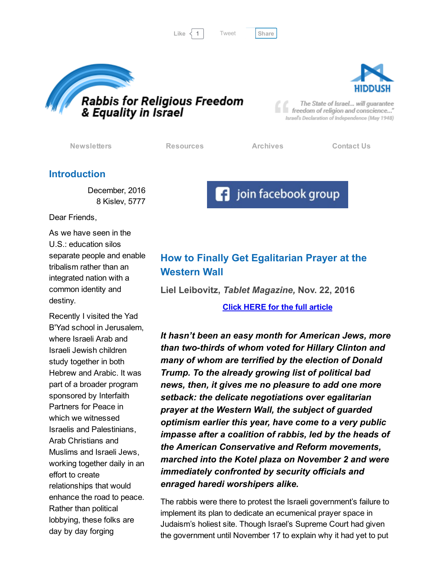Like  $\langle 1 |$  Tweet [Share](javascript:void(0);)

[Tweet](https://twitter.com/intent/tweet?original_referer=http%3A%2F%2Fhosted.verticalresponse.com%2F577764%2F70056c8ef6%2F1468726019%2F420fab8f2e%2F&ref_src=twsrc%5Etfw&text=Bulletin%3A%20Indigenous%20Jewish%20expression%20in%20Israel%3A&tw_p=tweetbutton&url=http%3A%2F%2Fhosted-p0.vresp.com%2F577764%2F70056c8ef6%2FARCHIVE%23.WE0onj-U1H4.twitter)





The State of Israel... will guarantee freedom of religion and conscience..." Israel's Declaration of Independence (May 1948)

[Newsletters](http://cts.vresp.com/c/?FreedomofReligionfor/70056c8ef6/420fab8f2e/baa5b48c83) [Resources](http://cts.vresp.com/c/?FreedomofReligionfor/70056c8ef6/420fab8f2e/5f2fa823df) [Archives](http://cts.vresp.com/c/?FreedomofReligionfor/70056c8ef6/420fab8f2e/92d3e33d94) [Contact](http://cts.vresp.com/c/?FreedomofReligionfor/70056c8ef6/420fab8f2e/8e9775e4d6) Us

### Introduction

December, 2016 8 Kislev, 5777

Dear Friends,

As we have seen in the U.S.: education silos separate people and enable tribalism rather than an integrated nation with a common identity and destiny.

Recently I visited the Yad B'Yad school in Jerusalem, where Israeli Arab and Israeli Jewish children study together in both Hebrew and Arabic. It was part of a broader program sponsored by Interfaith Partners for Peace in which we witnessed Israelis and Palestinians, Arab Christians and Muslims and Israeli Jews, working together daily in an effort to create relationships that would enhance the road to peace. Rather than political lobbying, these folks are day by day forging

# How to Finally Get Egalitarian Prayer at the Western Wall

Liel Leibovitz, Tablet Magazine, Nov. 22, 2016

Click HERE for the full [article](http://cts.vresp.com/c/?FreedomofReligionfor/70056c8ef6/420fab8f2e/a48f33025c)

It hasn't been an easy month for American Jews, more than two-thirds of whom voted for Hillary Clinton and many of whom are terrified by the election of Donald Trump. To the already growing list of political bad news, then, it gives me no pleasure to add one more setback: the delicate negotiations over egalitarian prayer at the Western Wall, the subject of guarded optimism earlier this year, have come to a very public impasse after a coalition of rabbis, led by the heads of the American Conservative and Reform movements, marched into the Kotel plaza on November 2 and were immediately confronted by security officials and enraged haredi worshipers alike.

The rabbis were there to protest the Israeli government's failure to implement its plan to dedicate an ecumenical prayer space in Judaism's holiest site. Though Israel's Supreme Court had given the government until November 17 to explain why it had yet to put

**F** join facebook group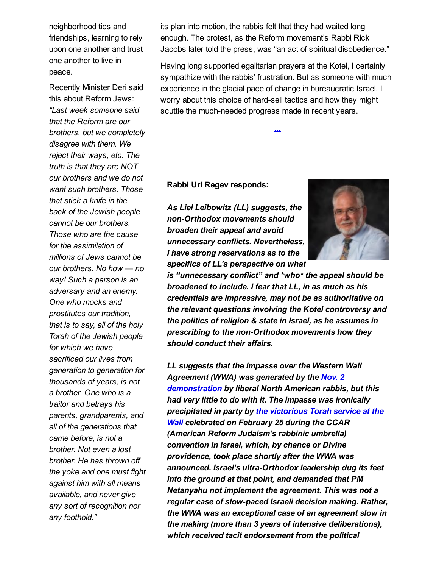neighborhood ties and friendships, learning to rely upon one another and trust one another to live in peace.

Recently Minister Deri said this about Reform Jews: "Last week someone said that the Reform are our brothers, but we completely disagree with them. We reject their ways, etc. The truth is that they are NOT our brothers and we do not want such brothers. Those that stick a knife in the back of the Jewish people cannot be our brothers. Those who are the cause for the assimilation of millions of Jews cannot be our brothers. No how — no way! Such a person is an adversary and an enemy. One who mocks and prostitutes our tradition, that is to say, all of the holy Torah of the Jewish people for which we have sacrificed our lives from generation to generation for thousands of years, is not a brother. One who is a traitor and betrays his parents, grandparents, and all of the generations that came before, is not a brother. Not even a lost brother. He has thrown off the yoke and one must fight against him with all means available, and never give any sort of recognition nor any foothold."

its plan into motion, the rabbis felt that they had waited long enough. The protest, as the Reform movement's Rabbi Rick Jacobs later told the press, was "an act of spiritual disobedience."

Having long supported egalitarian prayers at the Kotel, I certainly sympathize with the rabbis' frustration. But as someone with much experience in the glacial pace of change in bureaucratic Israel, I worry about this choice of hard-sell tactics and how they might scuttle the much-needed progress made in recent years.

[...](http://cts.vresp.com/c/?FreedomofReligionfor/70056c8ef6/420fab8f2e/6c67dde3ff)

#### Rabbi Uri Regev responds:

As Liel Leibowitz (LL) suggests, the non-Orthodox movements should broaden their appeal and avoid unnecessary conflicts. Nevertheless, I have strong reservations as to the specifics of LL's perspective on what



is "unnecessary conflict" and \*who\* the appeal should be broadened to include. I fear that LL, in as much as his credentials are impressive, may not be as authoritative on the relevant questions involving the Kotel controversy and the politics of religion & state in Israel, as he assumes in prescribing to the non-Orthodox movements how they should conduct their affairs.

LL suggests that the impasse over the Western Wall Agreement (WWA) was generated by the Nov. 2 [demonstration](http://cts.vresp.com/c/?FreedomofReligionfor/70056c8ef6/420fab8f2e/e1fe83695b) by liberal North American rabbis, but this had very little to do with it. The impasse was ironically [precipitated](http://cts.vresp.com/c/?FreedomofReligionfor/70056c8ef6/420fab8f2e/f3c280bba7) in party by the victorious Torah service at the **Wall celebrated on February 25 during the CCAR** (American Reform Judaism's rabbinic umbrella) convention in Israel, which, by chance or Divine providence, took place shortly after the WWA was announced. Israel's ultra-Orthodox leadership dug its feet into the ground at that point, and demanded that PM Netanyahu not implement the agreement. This was not a regular case of slow-paced Israeli decision making. Rather, the WWA was an exceptional case of an agreement slow in the making (more than 3 years of intensive deliberations), which received tacit endorsement from the political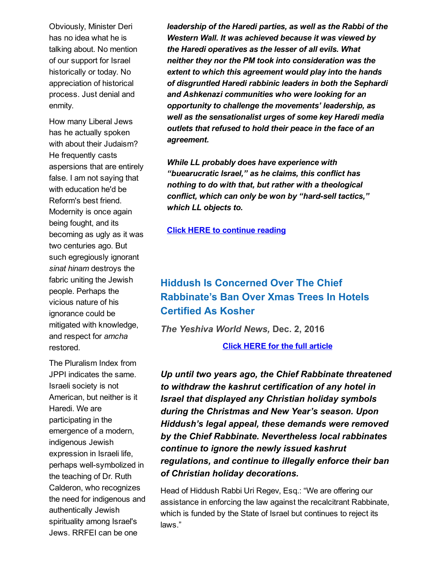Obviously, Minister Deri has no idea what he is talking about. No mention of our support for Israel historically or today. No appreciation of historical process. Just denial and enmity.

How many Liberal Jews has he actually spoken with about their Judaism? He frequently casts aspersions that are entirely false. I am not saying that with education he'd be Reform's best friend. Modernity is once again being fought, and its becoming as ugly as it was two centuries ago. But such egregiously ignorant sinat hinam destroys the fabric uniting the Jewish people. Perhaps the vicious nature of his ignorance could be mitigated with knowledge, and respect for amcha restored.

The Pluralism Index from JPPI indicates the same. Israeli society is not American, but neither is it Haredi. We are participating in the emergence of a modern, indigenous Jewish expression in Israeli life, perhaps well-symbolized in the teaching of Dr. Ruth Calderon, who recognizes the need for indigenous and authentically Jewish spirituality among Israel's Jews. RRFEI can be one

leadership of the Haredi parties, as well as the Rabbi of the Western Wall. It was achieved because it was viewed by the Haredi operatives as the lesser of all evils. What neither they nor the PM took into consideration was the extent to which this agreement would play into the hands of disgruntled Haredi rabbinic leaders in both the Sephardi and Ashkenazi communities who were looking for an opportunity to challenge the movements' leadership, as well as the sensationalist urges of some key Haredi media outlets that refused to hold their peace in the face of an agreement.

While LL probably does have experience with "buearucratic Israel," as he claims, this conflict has nothing to do with that, but rather with a theological conflict, which can only be won by "hard-sell tactics," which LL objects to.

#### Click HERE to [continue](http://cts.vresp.com/c/?FreedomofReligionfor/70056c8ef6/420fab8f2e/125535abad) reading

# Hiddush Is Concerned Over The Chief Rabbinate's Ban Over Xmas Trees In Hotels Certified As Kosher

The Yeshiva World News, Dec. 2, 2016

Click HERE for the full [article](http://cts.vresp.com/c/?FreedomofReligionfor/70056c8ef6/420fab8f2e/54e21ae459)

Up until two years ago, the Chief Rabbinate threatened to withdraw the kashrut certification of any hotel in Israel that displayed any Christian holiday symbols during the Christmas and New Year's season. Upon Hiddush's legal appeal, these demands were removed by the Chief Rabbinate. Nevertheless local rabbinates continue to ignore the newly issued kashrut regulations, and continue to illegally enforce their ban of Christian holiday decorations.

Head of Hiddush Rabbi Uri Regev, Esq.: "We are offering our assistance in enforcing the law against the recalcitrant Rabbinate, which is funded by the State of Israel but continues to reject its laws."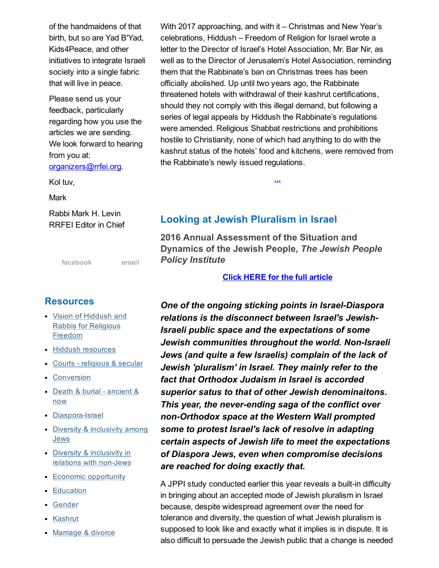of the handmaidens of that birth, but so are Yad B'Yad, Kids4Peace, and other initiatives to integrate Israeli society into a single fabric that will live in peace.

Please send us your feedback, particularly regarding how you use the articles we are sending. We look forward to hearing from you at: [organizers@rrfei.org](mailto:organizers@rrfei.org).

Kol tuv,

**Mark** 

Rabbi Mark H. Levin RRFEI Editor in Chief

[facebook](http://cts.vresp.com/c/?FreedomofReligionfor/70056c8ef6/420fab8f2e/0e67016be1) [email](mailto:organizers@rrfei.org)

### **Resources**

- Vision of Hiddush and Rabbis for [Religious](http://cts.vresp.com/c/?FreedomofReligionfor/70056c8ef6/420fab8f2e/83fff6feff) Freedom
- Hiddush [resources](http://cts.vresp.com/c/?FreedomofReligionfor/70056c8ef6/420fab8f2e/ca0016bbf4)
- Courts [religious](http://cts.vresp.com/c/?FreedomofReligionfor/70056c8ef6/420fab8f2e/9f26c2aab7) & secular
- [Conversion](http://cts.vresp.com/c/?FreedomofReligionfor/70056c8ef6/420fab8f2e/0d492f6154)
- Death & burial [ancient](http://cts.vresp.com/c/?FreedomofReligionfor/70056c8ef6/420fab8f2e/946413a578) & now
- Diaspora-Israel
- Diversity & [inclusivity](http://cts.vresp.com/c/?FreedomofReligionfor/70056c8ef6/420fab8f2e/4ebd266a16) among **Jews**
- Diversity & inclusivity in relations with non-Jews
- Economic [opportunity](http://cts.vresp.com/c/?FreedomofReligionfor/70056c8ef6/420fab8f2e/516dd26e71)
- [Education](http://cts.vresp.com/c/?FreedomofReligionfor/70056c8ef6/420fab8f2e/16621a3878)
- [Gender](http://cts.vresp.com/c/?FreedomofReligionfor/70056c8ef6/420fab8f2e/78e8a548e3)
- [Kashrut](http://cts.vresp.com/c/?FreedomofReligionfor/70056c8ef6/420fab8f2e/6b1397e35a)
- [Marriage](http://cts.vresp.com/c/?FreedomofReligionfor/70056c8ef6/420fab8f2e/a73acaa0dd) & divorce

With 2017 approaching, and with it – Christmas and New Year's celebrations, Hiddush – Freedom of Religion for Israel wrote a letter to the Director of Israel's Hotel Association, Mr. Bar Nir, as well as to the Director of Jerusalem's Hotel Association, reminding them that the Rabbinate's ban on Christmas trees has been officially abolished. Up until two years ago, the Rabbinate threatened hotels with withdrawal of their kashrut certifications, should they not comply with this illegal demand, but following a series of legal appeals by Hiddush the Rabbinate's regulations were amended. Religious Shabbat restrictions and prohibitions hostile to Christianity, none of which had anything to do with the kashrut status of the hotels' food and kitchens, were removed from the Rabbinate's newly issued regulations.

[...](http://cts.vresp.com/c/?FreedomofReligionfor/70056c8ef6/420fab8f2e/d0cd412733)

## Looking at Jewish Pluralism in Israel

2016 Annual Assessment of the Situation and Dynamics of the Jewish People, The Jewish People Policy Institute

Click HERE for the full [article](http://cts.vresp.com/c/?FreedomofReligionfor/70056c8ef6/420fab8f2e/96f9d1342e)

One of the ongoing sticking points in Israel-Diaspora relations is the disconnect between Israel's Jewish-Israeli public space and the expectations of some Jewish communities throughout the world. Non-Israeli Jews (and quite a few Israelis) complain of the lack of Jewish 'pluralism' in Israel. They mainly refer to the fact that Orthodox Judaism in Israel is accorded superior satus to that of other Jewish denominaitons. This year, the never-ending saga of the conflict over non-Orthodox space at the Western Wall prompted some to protest Israel's lack of resolve in adapting certain aspects of Jewish life to meet the expectations of Diaspora Jews, even when compromise decisions are reached for doing exactly that.

A JPPI study conducted earlier this year reveals a built-in difficulty in bringing about an accepted mode of Jewish pluralism in Israel because, despite widespread agreement over the need for tolerance and diversity, the question of what Jewish pluralism is supposed to look like and exactly what it implies is in dispute. It is also difficult to persuade the Jewish public that a change is needed